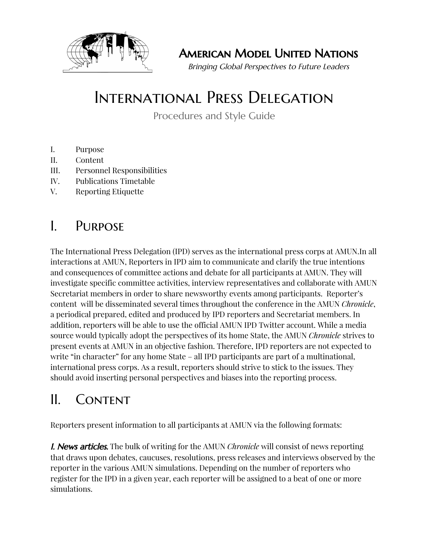

American Model United Nations

Bringing Global Perspectives to Future Leaders

# International Press Delegation

Procedures and Style Guide

- I. Purpose
- II. Content
- III. Personnel Responsibilities
- IV. Publications Timetable
- V. Reporting Etiquette

### I. Purpose

The International Press Delegation (IPD) serves as the international press corps at AMUN.In all interactions at AMUN, Reporters in IPD aim to communicate and clarify the true intentions and consequences of committee actions and debate for all participants at AMUN. They will investigate specific committee activities, interview representatives and collaborate with AMUN Secretariat members in order to share newsworthy events among participants. Reporter's content will be disseminated several times throughout the conference in the AMUN *Chronicle*, a periodical prepared, edited and produced by IPD reporters and Secretariat members. In addition, reporters will be able to use the official AMUN IPD Twitter account. While a media source would typically adopt the perspectives of its home State, the AMUN *Chronicle* strives to present events at AMUN in an objective fashion. Therefore, IPD reporters are not expected to write "in character" for any home State – all IPD participants are part of a multinational, international press corps. As a result, reporters should strive to stick to the issues. They should avoid inserting personal perspectives and biases into the reporting process.

## II. CONTENT

Reporters present information to all participants at AMUN via the following formats:

1. News articles. The bulk of writing for the AMUN *Chronicle* will consist of news reporting that draws upon debates, caucuses, resolutions, press releases and interviews observed by the reporter in the various AMUN simulations. Depending on the number of reporters who register for the IPD in a given year, each reporter will be assigned to a beat of one or more simulations.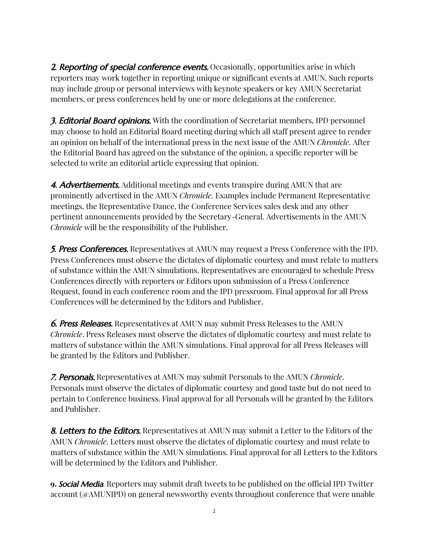**2. Reporting of special conference events.** Occasionally, opportunities arise in which reporters may work together in reporting unique or significant events at AMUN. Such reports may include group or personal interviews with keynote speakers or key AMUN Secretariat members, or press conferences held by one or more delegations at the conference.

**3. Editorial Board opinions.** With the coordination of Secretariat members, IPD personnel may choose to hold an Editorial Board meeting during which all staff present agree to render an opinion on behalf of the international press in the next issue of the AMUN *Chronicle*. After the Editorial Board has agreed on the substance of the opinion, a specific reporter will be selected to write an editorial article expressing that opinion.

4. Advertisements. Additional meetings and events transpire during AMUN that are prominently advertised in the AMUN *Chronicle*. Examples include Permanent Representative meetings, the Representative Dance, the Conference Services sales desk and any other pertinent announcements provided by the Secretary-General. Advertisements in the AMUN *Chronicle* will be the responsibility of the Publisher.

5. Press Conferences. Representatives at AMUN may request a Press Conference with the IPD. Press Conferences must observe the dictates of diplomatic courtesy and must relate to matters of substance within the AMUN simulations. Representatives are encouraged to schedule Press Conferences directly with reporters or Editors upon submission of a Press Conference Request, found in each conference room and the IPD pressroom. Final approval for all Press Conferences will be determined by the Editors and Publisher.

**6. Press Releases.** Representatives at AMUN may submit Press Releases to the AMUN *Chronicle*. Press Releases must observe the dictates of diplomatic courtesy and must relate to matters of substance within the AMUN simulations. Final approval for all Press Releases will be granted by the Editors and Publisher.

7. Personals. Representatives at AMUN may submit Personals to the AMUN *Chronicle*. Personals must observe the dictates of diplomatic courtesy and good taste but do not need to pertain to Conference business. Final approval for all Personals will be granted by the Editors and Publisher.

**8. Letters to the Editors.** Representatives at AMUN may submit a Letter to the Editors of the AMUN *Chronicle*. Letters must observe the dictates of diplomatic courtesy and must relate to matters of substance within the AMUN simulations. Final approval for all Letters to the Editors will be determined by the Editors and Publisher.

**9.** Social Media. Reporters may submit draft tweets to be published on the official IPD Twitter account (@AMUNIPD) on general newsworthy events throughout conference that were unable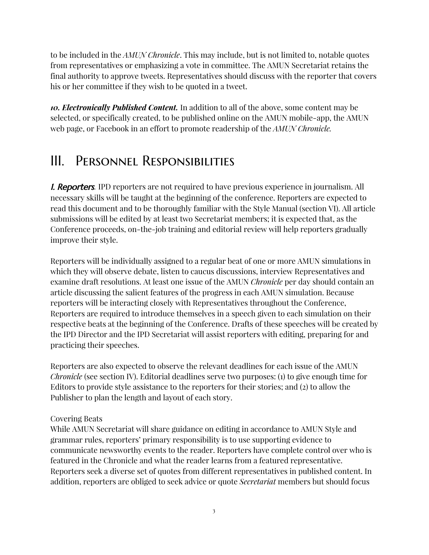to be included in the *AMUN Chronicle*. This may include, but is not limited to, notable quotes from representatives or emphasizing a vote in committee. The AMUN Secretariat retains the final authority to approve tweets. Representatives should discuss with the reporter that covers his or her committee if they wish to be quoted in a tweet.

*10. Electronically Published Content.* In addition to all of the above, some content may be selected, or specifically created, to be published online on the AMUN mobile-app, the AMUN web page, or Facebook in an effort to promote readership of the *AMUN Chronicle.*

# III. Personnel Responsibilities

**I. Reporters**. IPD reporters are not required to have previous experience in journalism. All necessary skills will be taught at the beginning of the conference. Reporters are expected to read this document and to be thoroughly familiar with the Style Manual (section VI). All article submissions will be edited by at least two Secretariat members; it is expected that, as the Conference proceeds, on-the-job training and editorial review will help reporters gradually improve their style.

Reporters will be individually assigned to a regular beat of one or more AMUN simulations in which they will observe debate, listen to caucus discussions, interview Representatives and examine draft resolutions. At least one issue of the AMUN *Chronicle* per day should contain an article discussing the salient features of the progress in each AMUN simulation. Because reporters will be interacting closely with Representatives throughout the Conference, Reporters are required to introduce themselves in a speech given to each simulation on their respective beats at the beginning of the Conference. Drafts of these speeches will be created by the IPD Director and the IPD Secretariat will assist reporters with editing, preparing for and practicing their speeches.

Reporters are also expected to observe the relevant deadlines for each issue of the AMUN *Chronicle* (see section IV). Editorial deadlines serve two purposes: (1) to give enough time for Editors to provide style assistance to the reporters for their stories; and (2) to allow the Publisher to plan the length and layout of each story.

#### Covering Beats

While AMUN Secretariat will share guidance on editing in accordance to AMUN Style and grammar rules, reporters' primary responsibility is to use supporting evidence to communicate newsworthy events to the reader. Reporters have complete control over who is featured in the Chronicle and what the reader learns from a featured representative. Reporters seek a diverse set of quotes from different representatives in published content. In addition, reporters are obliged to seek advice or quote *Secretariat* members but should focus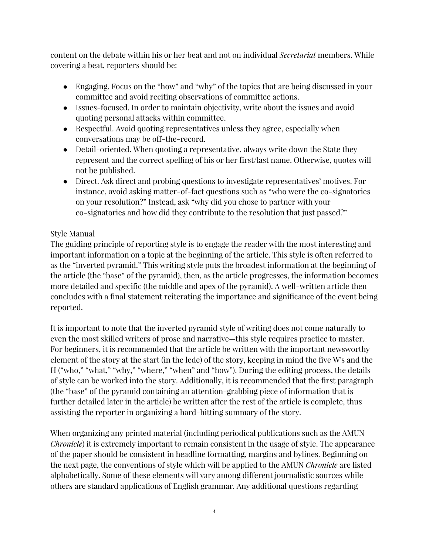content on the debate within his or her beat and not on individual *Secretariat* members. While covering a beat, reporters should be:

- Engaging. Focus on the "how" and "why" of the topics that are being discussed in your committee and avoid reciting observations of committee actions.
- Issues-focused. In order to maintain objectivity, write about the issues and avoid quoting personal attacks within committee.
- Respectful. Avoid quoting representatives unless they agree, especially when conversations may be off-the-record.
- Detail-oriented. When quoting a representative, always write down the State they represent and the correct spelling of his or her first/last name. Otherwise, quotes will not be published.
- Direct. Ask direct and probing questions to investigate representatives' motives. For instance, avoid asking matter-of-fact questions such as "who were the co-signatories on your resolution?" Instead, ask "why did you chose to partner with your co-signatories and how did they contribute to the resolution that just passed?"

#### Style Manual

The guiding principle of reporting style is to engage the reader with the most interesting and important information on a topic at the beginning of the article. This style is often referred to as the "inverted pyramid." This writing style puts the broadest information at the beginning of the article (the "base" of the pyramid), then, as the article progresses, the information becomes more detailed and specific (the middle and apex of the pyramid). A well-written article then concludes with a final statement reiterating the importance and significance of the event being reported.

It is important to note that the inverted pyramid style of writing does not come naturally to even the most skilled writers of prose and narrative—this style requires practice to master. For beginners, it is recommended that the article be written with the important newsworthy element of the story at the start (in the lede) of the story, keeping in mind the five W's and the H ("who," "what," "why," "where," "when" and "how"). During the editing process, the details of style can be worked into the story. Additionally, it is recommended that the first paragraph (the "base" of the pyramid containing an attention-grabbing piece of information that is further detailed later in the article) be written after the rest of the article is complete, thus assisting the reporter in organizing a hard-hitting summary of the story.

When organizing any printed material (including periodical publications such as the AMUN *Chronicle*) it is extremely important to remain consistent in the usage of style. The appearance of the paper should be consistent in headline formatting, margins and bylines. Beginning on the next page, the conventions of style which will be applied to the AMUN *Chronicle* are listed alphabetically. Some of these elements will vary among different journalistic sources while others are standard applications of English grammar. Any additional questions regarding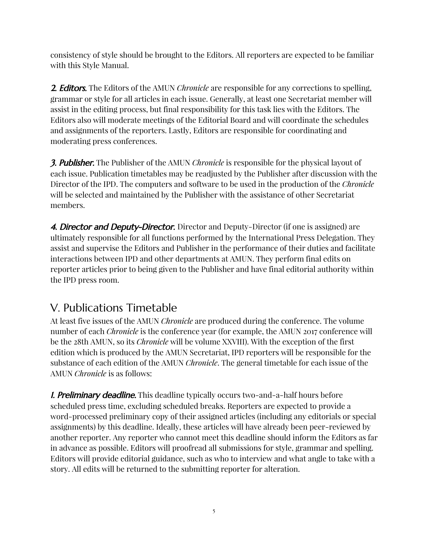consistency of style should be brought to the Editors. All reporters are expected to be familiar with this Style Manual.

2. Editors. The Editors of the AMUN *Chronicle* are responsible for any corrections to spelling, grammar or style for all articles in each issue. Generally, at least one Secretariat member will assist in the editing process, but final responsibility for this task lies with the Editors. The Editors also will moderate meetings of the Editorial Board and will coordinate the schedules and assignments of the reporters. Lastly, Editors are responsible for coordinating and moderating press conferences.

3. Publisher. The Publisher of the AMUN *Chronicle* is responsible for the physical layout of each issue. Publication timetables may be readjusted by the Publisher after discussion with the Director of the IPD. The computers and software to be used in the production of the *Chronicle* will be selected and maintained by the Publisher with the assistance of other Secretariat members.

4. Director and Deputy-Director. Director and Deputy-Director (if one is assigned) are ultimately responsible for all functions performed by the International Press Delegation. They assist and supervise the Editors and Publisher in the performance of their duties and facilitate interactions between IPD and other departments at AMUN. They perform final edits on reporter articles prior to being given to the Publisher and have final editorial authority within the IPD press room.

### V. Publications Timetable

At least five issues of the AMUN *Chronicle* are produced during the conference. The volume number of each *Chronicle* is the conference year (for example, the AMUN 2017 conference will be the 28th AMUN, so its *Chronicle* will be volume XXVIII). With the exception of the first edition which is produced by the AMUN Secretariat, IPD reporters will be responsible for the substance of each edition of the AMUN *Chronicle*. The general timetable for each issue of the AMUN *Chronicle* is as follows:

**1. Preliminary deadline.** This deadline typically occurs two-and-a-half hours before scheduled press time, excluding scheduled breaks. Reporters are expected to provide a word-processed preliminary copy of their assigned articles (including any editorials or special assignments) by this deadline. Ideally, these articles will have already been peer-reviewed by another reporter. Any reporter who cannot meet this deadline should inform the Editors as far in advance as possible. Editors will proofread all submissions for style, grammar and spelling. Editors will provide editorial guidance, such as who to interview and what angle to take with a story. All edits will be returned to the submitting reporter for alteration.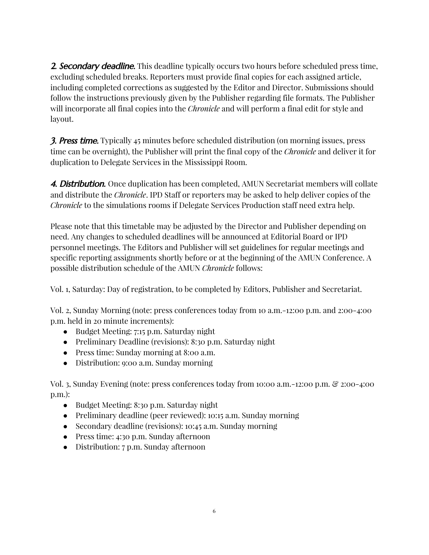**2. Secondary deadline.** This deadline typically occurs two hours before scheduled press time, excluding scheduled breaks. Reporters must provide final copies for each assigned article, including completed corrections as suggested by the Editor and Director. Submissions should follow the instructions previously given by the Publisher regarding file formats. The Publisher will incorporate all final copies into the *Chronicle* and will perform a final edit for style and layout.

**3. Press time.** Typically 45 minutes before scheduled distribution (on morning issues, press time can be overnight), the Publisher will print the final copy of the *Chronicle* and deliver it for duplication to Delegate Services in the Mississippi Room.

4. Distribution. Once duplication has been completed, AMUN Secretariat members will collate and distribute the *Chronicle*. IPD Staff or reporters may be asked to help deliver copies of the *Chronicle* to the simulations rooms if Delegate Services Production staff need extra help.

Please note that this timetable may be adjusted by the Director and Publisher depending on need. Any changes to scheduled deadlines will be announced at Editorial Board or IPD personnel meetings. The Editors and Publisher will set guidelines for regular meetings and specific reporting assignments shortly before or at the beginning of the AMUN Conference. A possible distribution schedule of the AMUN *Chronicle* follows:

Vol. 1, Saturday: Day of registration, to be completed by Editors, Publisher and Secretariat.

Vol. 2, Sunday Morning (note: press conferences today from 10 a.m.-12:00 p.m. and 2:00-4:00 p.m. held in 20 minute increments):

- Budget Meeting: 7:15 p.m. Saturday night
- Preliminary Deadline (revisions): 8:30 p.m. Saturday night
- Press time: Sunday morning at 8:00 a.m.
- Distribution: 9:00 a.m. Sunday morning

Vol. 3, Sunday Evening (note: press conferences today from 10:00 a.m.-12:00 p.m. & 2:00-4:00 p.m.):

- Budget Meeting: 8:30 p.m. Saturday night
- Preliminary deadline (peer reviewed): 10:15 a.m. Sunday morning
- Secondary deadline (revisions): 10:45 a.m. Sunday morning
- Press time: 4:30 p.m. Sunday afternoon
- Distribution: 7 p.m. Sunday afternoon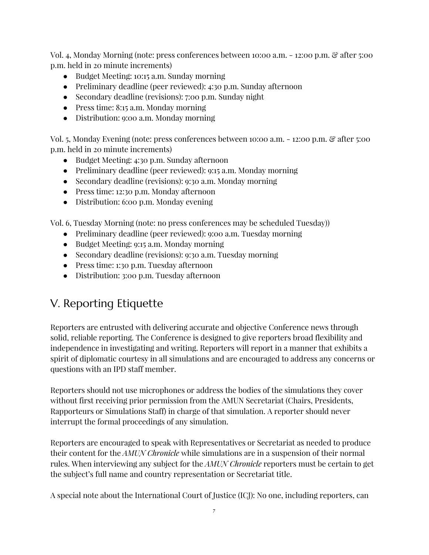Vol. 4, Monday Morning (note: press conferences between 10:00 a.m. - 12:00 p.m. & after 5:00 p.m. held in 20 minute increments)

- Budget Meeting: 10:15 a.m. Sunday morning
- Preliminary deadline (peer reviewed): 4:30 p.m. Sunday afternoon
- Secondary deadline (revisions): 7:00 p.m. Sunday night
- Press time: 8:15 a.m. Monday morning
- Distribution: 9:00 a.m. Monday morning

Vol. 5, Monday Evening (note: press conferences between 10:00 a.m. - 12:00 p.m. & after 5:00 p.m. held in 20 minute increments)

- Budget Meeting: 4:30 p.m. Sunday afternoon
- Preliminary deadline (peer reviewed): 9:15 a.m. Monday morning
- Secondary deadline (revisions): 9:30 a.m. Monday morning
- Press time: 12:30 p.m. Monday afternoon
- Distribution: 6:00 p.m. Monday evening

Vol. 6, Tuesday Morning (note: no press conferences may be scheduled Tuesday))

- Preliminary deadline (peer reviewed): 9:00 a.m. Tuesday morning
- Budget Meeting: 9:15 a.m. Monday morning
- Secondary deadline (revisions): 9:30 a.m. Tuesday morning
- Press time: 1:30 p.m. Tuesday afternoon
- Distribution: 3:00 p.m. Tuesday afternoon

### V. Reporting Etiquette

Reporters are entrusted with delivering accurate and objective Conference news through solid, reliable reporting. The Conference is designed to give reporters broad flexibility and independence in investigating and writing. Reporters will report in a manner that exhibits a spirit of diplomatic courtesy in all simulations and are encouraged to address any concerns or questions with an IPD staff member.

Reporters should not use microphones or address the bodies of the simulations they cover without first receiving prior permission from the AMUN Secretariat (Chairs, Presidents, Rapporteurs or Simulations Staff) in charge of that simulation. A reporter should never interrupt the formal proceedings of any simulation.

Reporters are encouraged to speak with Representatives or Secretariat as needed to produce their content for the *AMUN Chronicle* while simulations are in a suspension of their normal rules. When interviewing any subject for the *AMUN Chronicle* reporters must be certain to get the subject's full name and country representation or Secretariat title.

A special note about the International Court of Justice (ICJ): No one, including reporters, can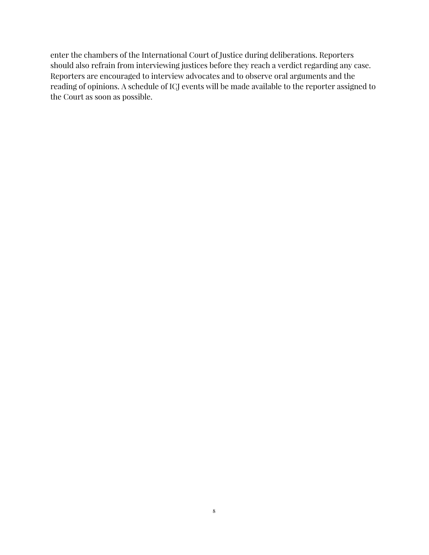enter the chambers of the International Court of Justice during deliberations. Reporters should also refrain from interviewing justices before they reach a verdict regarding any case. Reporters are encouraged to interview advocates and to observe oral arguments and the reading of opinions. A schedule of ICJ events will be made available to the reporter assigned to the Court as soon as possible.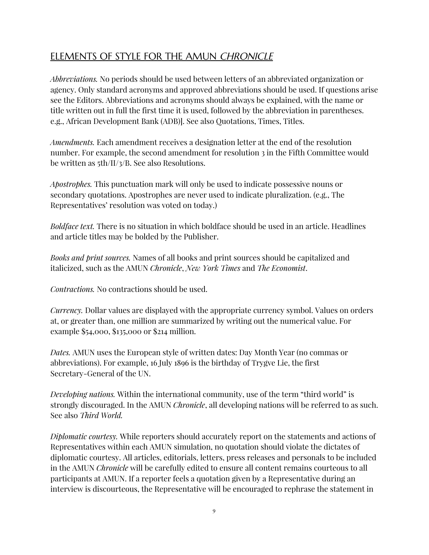### ELEMENTS OF STYLE FOR THE AMUN CHRONICLE

*Abbreviations.* No periods should be used between letters of an abbreviated organization or agency. Only standard acronyms and approved abbreviations should be used. If questions arise see the Editors. Abbreviations and acronyms should always be explained, with the name or title written out in full the first time it is used, followed by the abbreviation in parentheses. e.g., African Development Bank (ADB)]. See also Quotations, Times, Titles.

*Amendments.* Each amendment receives a designation letter at the end of the resolution number. For example, the second amendment for resolution 3 in the Fifth Committee would be written as 5th/II/3/B. See also Resolutions.

*Apostrophes.* This punctuation mark will only be used to indicate possessive nouns or secondary quotations. Apostrophes are never used to indicate pluralization. (e.g., The Representatives' resolution was voted on today.)

*Boldface text.* There is no situation in which boldface should be used in an article. Headlines and article titles may be bolded by the Publisher.

*Books and print sources.* Names of all books and print sources should be capitalized and italicized, such as the AMUN *Chronicle*, *New York Times* and *The Economist*.

*Contractions.* No contractions should be used.

*Currency.* Dollar values are displayed with the appropriate currency symbol. Values on orders at, or greater than, one million are summarized by writing out the numerical value. For example \$54,000, \$135,000 or \$214 million.

*Dates.* AMUN uses the European style of written dates: Day Month Year (no commas or abbreviations). For example, 16 July 1896 is the birthday of Trygve Lie, the first Secretary-General of the UN.

*Developing nations.* Within the international community, use of the term "third world" is strongly discouraged. In the AMUN *Chronicle*, all developing nations will be referred to as such. See also *Third World.*

*Diplomatic courtesy.* While reporters should accurately report on the statements and actions of Representatives within each AMUN simulation, no quotation should violate the dictates of diplomatic courtesy. All articles, editorials, letters, press releases and personals to be included in the AMUN *Chronicle* will be carefully edited to ensure all content remains courteous to all participants at AMUN. If a reporter feels a quotation given by a Representative during an interview is discourteous, the Representative will be encouraged to rephrase the statement in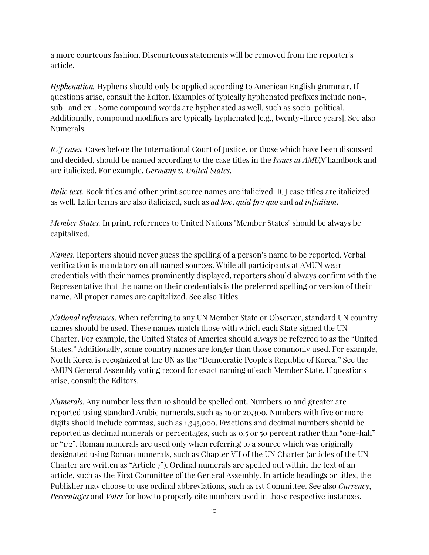a more courteous fashion. Discourteous statements will be removed from the reporter's article.

*Hyphenation.* Hyphens should only be applied according to American English grammar. If questions arise, consult the Editor. Examples of typically hyphenated prefixes include non-, sub- and ex-. Some compound words are hyphenated as well, such as socio-political. Additionally, compound modifiers are typically hyphenated [e.g., twenty-three years]. See also Numerals.

*ICJ* cases. Cases before the International Court of Justice, or those which have been discussed and decided, should be named according to the case titles in the *Issues at AMUN* handbook and are italicized. For example, *Germany v. United States*.

*Italic text.* Book titles and other print source names are italicized. ICJ case titles are italicized as well. Latin terms are also italicized, such as *ad hoc*, *quid pro quo* and *ad infinitum*.

*Member States.* In print, references to United Nations "Member States" should be always be capitalized.

*Names*. Reporters should never guess the spelling of a person's name to be reported. Verbal verification is mandatory on all named sources. While all participants at AMUN wear credentials with their names prominently displayed, reporters should always confirm with the Representative that the name on their credentials is the preferred spelling or version of their name. All proper names are capitalized. See also Titles.

*National references*. When referring to any UN Member State or Observer, standard UN country names should be used. These names match those with which each State signed the UN Charter. For example, the United States of America should always be referred to as the "United States." Additionally, some country names are longer than those commonly used. For example, North Korea is recognized at the UN as the "Democratic People's Republic of Korea." See the AMUN General Assembly voting record for exact naming of each Member State. If questions arise, consult the Editors.

*Numerals*. Any number less than 10 should be spelled out. Numbers 10 and greater are reported using standard Arabic numerals, such as 16 or 20,300. Numbers with five or more digits should include commas, such as 1,345,000. Fractions and decimal numbers should be reported as decimal numerals or percentages, such as 0.5 or 50 percent rather than "one-half" or "1/2". Roman numerals are used only when referring to a source which was originally designated using Roman numerals, such as Chapter VII of the UN Charter (articles of the UN Charter are written as "Article 7"). Ordinal numerals are spelled out within the text of an article, such as the First Committee of the General Assembly. In article headings or titles, the Publisher may choose to use ordinal abbreviations, such as 1st Committee. See also *Currency*, *Percentages* and *Votes* for how to properly cite numbers used in those respective instances.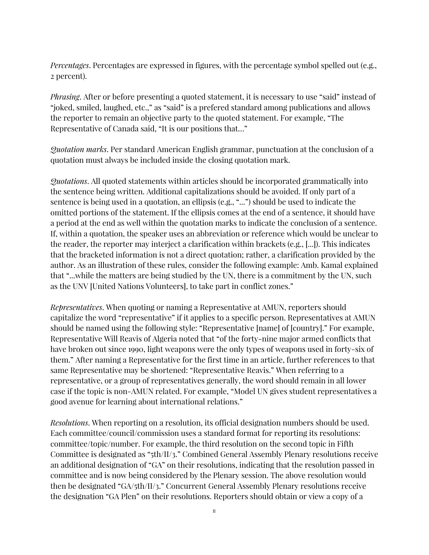*Percentages*. Percentages are expressed in figures, with the percentage symbol spelled out (e.g., 2 percent).

*Phrasing*. After or before presenting a quoted statement, it is necessary to use "said" instead of "joked, smiled, laughed, etc.," as "said" is a prefered standard among publications and allows the reporter to remain an objective party to the quoted statement. For example, "The Representative of Canada said, "It is our positions that…"

*Quotation marks*. Per standard American English grammar, punctuation at the conclusion of a quotation must always be included inside the closing quotation mark.

*Quotations*. All quoted statements within articles should be incorporated grammatically into the sentence being written. Additional capitalizations should be avoided. If only part of a sentence is being used in a quotation, an ellipsis (e.g., "...") should be used to indicate the omitted portions of the statement. If the ellipsis comes at the end of a sentence, it should have a period at the end as well within the quotation marks to indicate the conclusion of a sentence. If, within a quotation, the speaker uses an abbreviation or reference which would be unclear to the reader, the reporter may interject a clarification within brackets (e.g., [...]). This indicates that the bracketed information is not a direct quotation; rather, a clarification provided by the author. As an illustration of these rules, consider the following example: Amb. Kamal explained that "...while the matters are being studied by the UN, there is a commitment by the UN, such as the UNV [United Nations Volunteers], to take part in conflict zones."

*Representatives*. When quoting or naming a Representative at AMUN, reporters should capitalize the word "representative" if it applies to a specific person. Representatives at AMUN should be named using the following style: "Representative [name] of [country]." For example, Representative Will Reavis of Algeria noted that "of the forty-nine major armed conflicts that have broken out since 1990, light weapons were the only types of weapons used in forty-six of them." After naming a Representative for the first time in an article, further references to that same Representative may be shortened: "Representative Reavis." When referring to a representative, or a group of representatives generally, the word should remain in all lower case if the topic is non-AMUN related. For example, "Model UN gives student representatives a good avenue for learning about international relations."

*Resolutions*. When reporting on a resolution, its official designation numbers should be used. Each committee/council/commission uses a standard format for reporting its resolutions: committee/topic/number. For example, the third resolution on the second topic in Fifth Committee is designated as "5th/II/3." Combined General Assembly Plenary resolutions receive an additional designation of "GA" on their resolutions, indicating that the resolution passed in committee and is now being considered by the Plenary session. The above resolution would then be designated "GA/5th/II/3." Concurrent General Assembly Plenary resolutions receive the designation "GA Plen" on their resolutions. Reporters should obtain or view a copy of a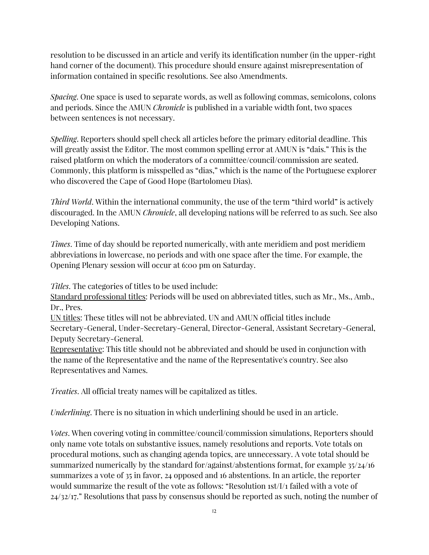resolution to be discussed in an article and verify its identification number (in the upper-right hand corner of the document). This procedure should ensure against misrepresentation of information contained in specific resolutions. See also Amendments.

*Spacing*. One space is used to separate words, as well as following commas, semicolons, colons and periods. Since the AMUN *Chronicle* is published in a variable width font, two spaces between sentences is not necessary.

*Spelling*. Reporters should spell check all articles before the primary editorial deadline. This will greatly assist the Editor. The most common spelling error at AMUN is "dais." This is the raised platform on which the moderators of a committee/council/commission are seated. Commonly, this platform is misspelled as "dias," which is the name of the Portuguese explorer who discovered the Cape of Good Hope (Bartolomeu Dias).

*Third World*. Within the international community, the use of the term "third world" is actively discouraged. In the AMUN *Chronicle*, all developing nations will be referred to as such. See also Developing Nations.

*Times*. Time of day should be reported numerically, with ante meridiem and post meridiem abbreviations in lowercase, no periods and with one space after the time. For example, the Opening Plenary session will occur at 6:00 pm on Saturday.

*Titles*. The categories of titles to be used include:

Standard professional titles: Periods will be used on abbreviated titles, such as Mr., Ms., Amb., Dr., Pres.

UN titles: These titles will not be abbreviated. UN and AMUN official titles include Secretary-General, Under-Secretary-General, Director-General, Assistant Secretary-General, Deputy Secretary-General.

Representative: This title should not be abbreviated and should be used in conjunction with the name of the Representative and the name of the Representative's country. See also Representatives and Names.

*Treaties*. All official treaty names will be capitalized as titles.

*Underlining*. There is no situation in which underlining should be used in an article.

*Votes*. When covering voting in committee/council/commission simulations, Reporters should only name vote totals on substantive issues, namely resolutions and reports. Vote totals on procedural motions, such as changing agenda topics, are unnecessary. A vote total should be summarized numerically by the standard for/against/abstentions format, for example 35/24/16 summarizes a vote of 35 in favor, 24 opposed and 16 abstentions. In an article, the reporter would summarize the result of the vote as follows: "Resolution 1st/I/1 failed with a vote of 24/32/17." Resolutions that pass by consensus should be reported as such, noting the number of